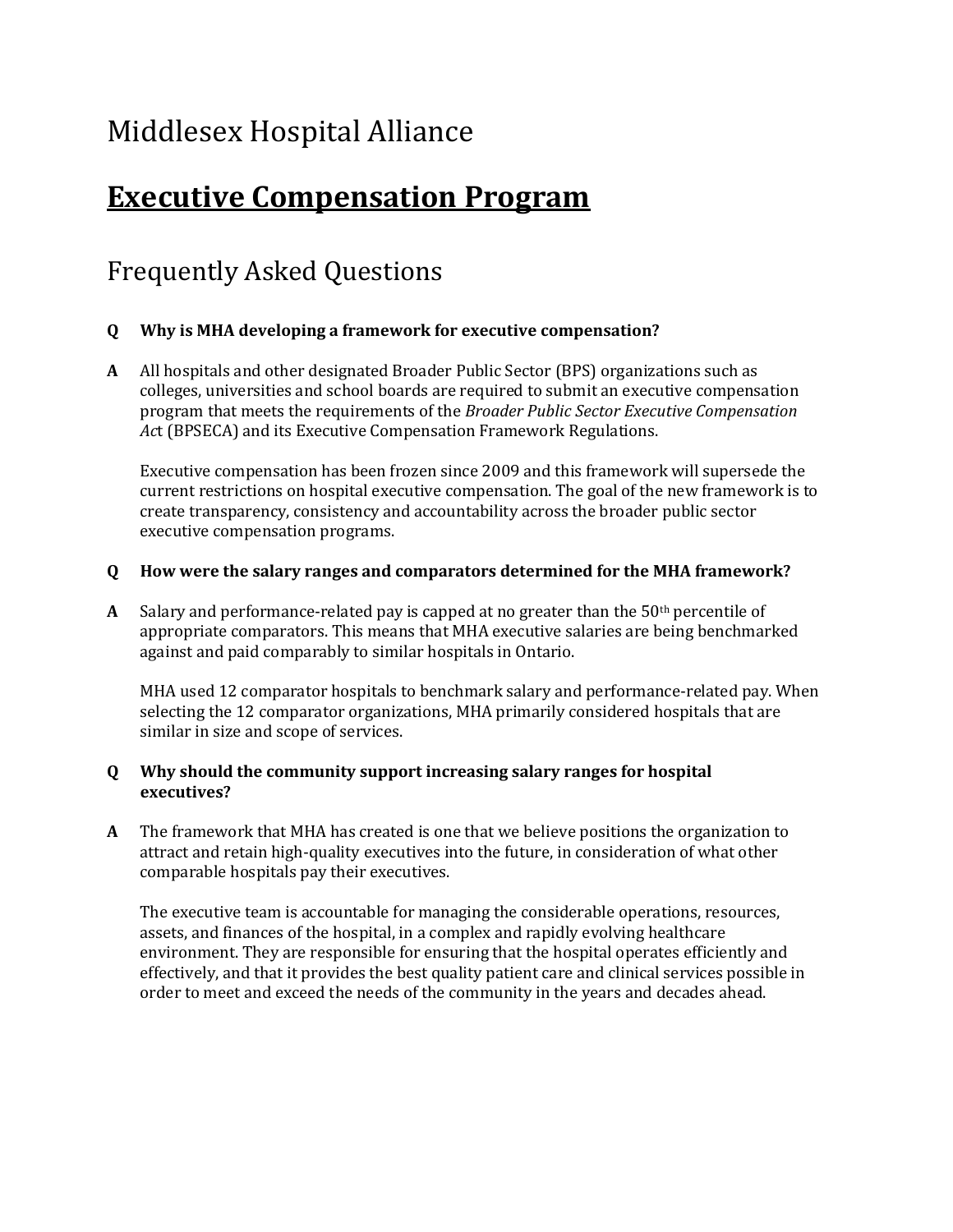# Middlesex Hospital Alliance

# **Executive Compensation Program**

## Frequently Asked Questions

### **Q Why is MHA developing a framework for executive compensation?**

**A** All hospitals and other designated Broader Public Sector (BPS) organizations such as colleges, universities and school boards are required to submit an executive compensation program that meets the requirements of the *Broader Public Sector Executive Compensation Ac*t (BPSECA) and its Executive Compensation Framework Regulations.

Executive compensation has been frozen since 2009 and this framework will supersede the current restrictions on hospital executive compensation. The goal of the new framework is to create transparency, consistency and accountability across the broader public sector executive compensation programs.

#### **Q How were the salary ranges and comparators determined for the MHA framework?**

**A** Salary and performance-related pay is capped at no greater than the 50th percentile of appropriate comparators. This means that MHA executive salaries are being benchmarked against and paid comparably to similar hospitals in Ontario.

MHA used 12 comparator hospitals to benchmark salary and performance-related pay. When selecting the 12 comparator organizations, MHA primarily considered hospitals that are similar in size and scope of services.

#### **Q Why should the community support increasing salary ranges for hospital executives?**

**A** The framework that MHA has created is one that we believe positions the organization to attract and retain high-quality executives into the future, in consideration of what other comparable hospitals pay their executives.

The executive team is accountable for managing the considerable operations, resources, assets, and finances of the hospital, in a complex and rapidly evolving healthcare environment. They are responsible for ensuring that the hospital operates efficiently and effectively, and that it provides the best quality patient care and clinical services possible in order to meet and exceed the needs of the community in the years and decades ahead.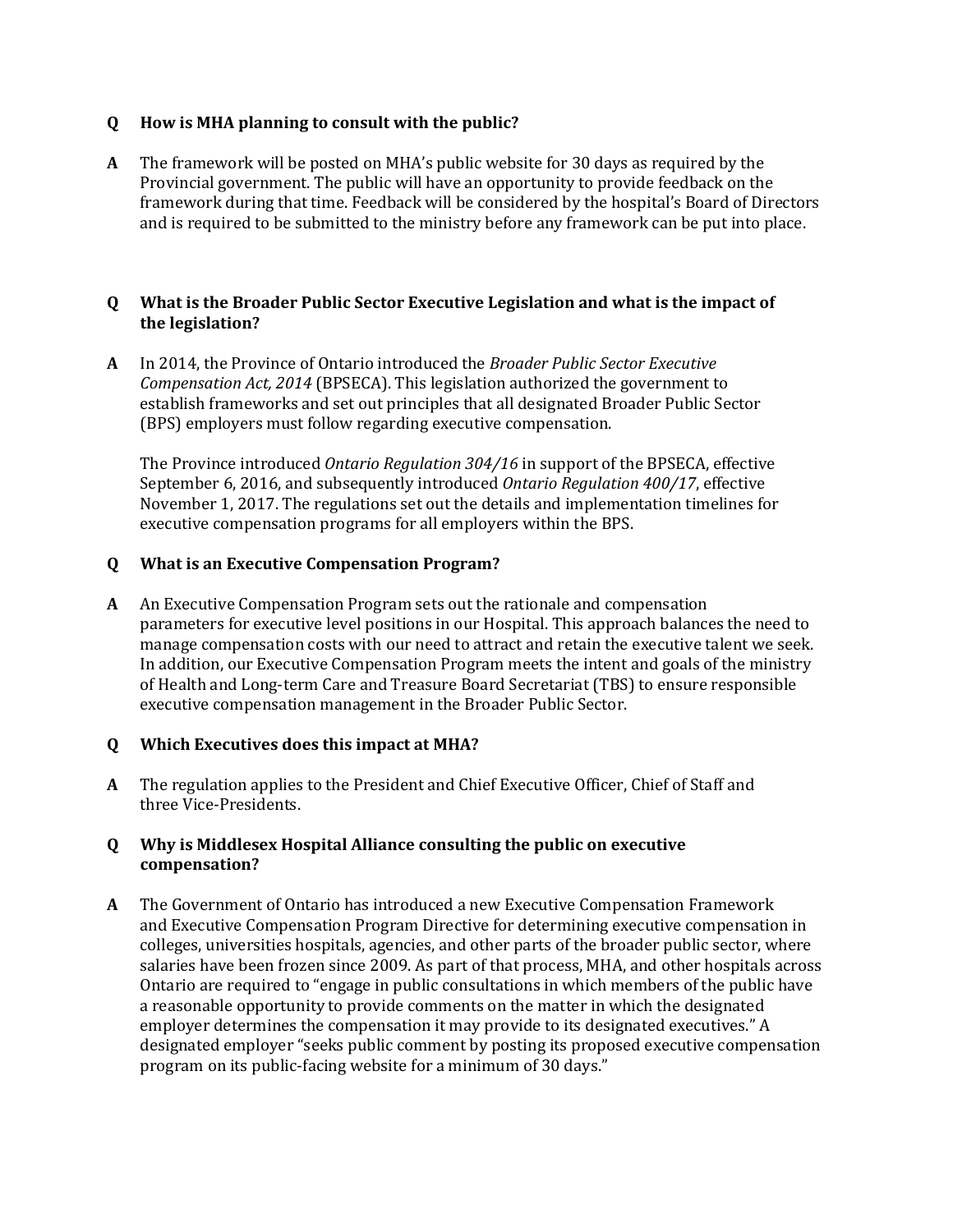#### **Q How is MHA planning to consult with the public?**

**A** The framework will be posted on MHA's public website for 30 days as required by the Provincial government. The public will have an opportunity to provide feedback on the framework during that time. Feedback will be considered by the hospital's Board of Directors and is required to be submitted to the ministry before any framework can be put into place.

#### **Q What is the Broader Public Sector Executive Legislation and what is the impact of the legislation?**

**A** In 2014, the Province of Ontario introduced the *Broader Public Sector Executive Compensation Act, 2014* (BPSECA). This legislation authorized the government to establish frameworks and set out principles that all designated Broader Public Sector (BPS) employers must follow regarding executive compensation.

The Province introduced *Ontario Regulation 304/16* in support of the BPSECA, effective September 6, 2016, and subsequently introduced *Ontario Regulation 400/17*, effective November 1, 2017. The regulations set out the details and implementation timelines for executive compensation programs for all employers within the BPS.

#### **Q What is an Executive Compensation Program?**

**A** An Executive Compensation Program sets out the rationale and compensation parameters for executive level positions in our Hospital. This approach balances the need to manage compensation costs with our need to attract and retain the executive talent we seek. In addition, our Executive Compensation Program meets the intent and goals of the ministry of Health and Long-term Care and Treasure Board Secretariat (TBS) to ensure responsible executive compensation management in the Broader Public Sector.

#### **Q Which Executives does this impact at MHA?**

**A** The regulation applies to the President and Chief Executive Officer, Chief of Staff and three Vice-Presidents.

#### **Q Why is Middlesex Hospital Alliance consulting the public on executive compensation?**

**A** The Government of Ontario has introduced a new Executive Compensation Framework and Executive Compensation Program Directive for determining executive compensation in colleges, universities hospitals, agencies, and other parts of the broader public sector, where salaries have been frozen since 2009. As part of that process, MHA, and other hospitals across Ontario are required to "engage in public consultations in which members of the public have a reasonable opportunity to provide comments on the matter in which the designated employer determines the compensation it may provide to its designated executives." A designated employer "seeks public comment by posting its proposed executive compensation program on its public-facing website for a minimum of 30 days."